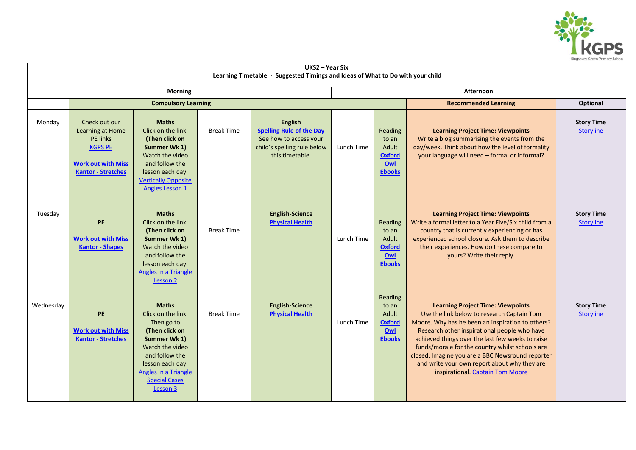

| UKS2 - Year Six<br>Learning Timetable - Suggested Timings and Ideas of What to Do with your child |                                                                                                                                  |                                                                                                                                                                                                         |                   |                                                                                                                               |            |                                                                    |                                                                                                                                                                                                                                                                                                                                                                                                                                           |                                       |  |  |
|---------------------------------------------------------------------------------------------------|----------------------------------------------------------------------------------------------------------------------------------|---------------------------------------------------------------------------------------------------------------------------------------------------------------------------------------------------------|-------------------|-------------------------------------------------------------------------------------------------------------------------------|------------|--------------------------------------------------------------------|-------------------------------------------------------------------------------------------------------------------------------------------------------------------------------------------------------------------------------------------------------------------------------------------------------------------------------------------------------------------------------------------------------------------------------------------|---------------------------------------|--|--|
| <b>Morning</b>                                                                                    |                                                                                                                                  |                                                                                                                                                                                                         |                   |                                                                                                                               |            | Afternoon                                                          |                                                                                                                                                                                                                                                                                                                                                                                                                                           |                                       |  |  |
|                                                                                                   | <b>Compulsory Learning</b>                                                                                                       |                                                                                                                                                                                                         |                   |                                                                                                                               |            |                                                                    | <b>Recommended Learning</b>                                                                                                                                                                                                                                                                                                                                                                                                               | Optional                              |  |  |
| Monday                                                                                            | Check out our<br>Learning at Home<br><b>PE</b> links<br><b>KGPS PE</b><br><b>Work out with Miss</b><br><b>Kantor - Stretches</b> | <b>Maths</b><br>Click on the link.<br>(Then click on<br>Summer Wk 1)<br>Watch the video<br>and follow the<br>lesson each day.<br><b>Vertically Opposite</b><br><b>Angles Lesson 1</b>                   | <b>Break Time</b> | <b>English</b><br><b>Spelling Rule of the Day</b><br>See how to access your<br>child's spelling rule below<br>this timetable. | Lunch Time | Reading<br>to an<br>Adult<br><b>Oxford</b><br>Owl<br><b>Ebooks</b> | <b>Learning Project Time: Viewpoints</b><br>Write a blog summarising the events from the<br>day/week. Think about how the level of formality<br>your language will need - formal or informal?                                                                                                                                                                                                                                             | <b>Story Time</b><br>Storyline        |  |  |
| Tuesday                                                                                           | PE<br><b>Work out with Miss</b><br><b>Kantor - Shapes</b>                                                                        | <b>Maths</b><br>Click on the link.<br>(Then click on<br>Summer Wk 1)<br>Watch the video<br>and follow the<br>lesson each day.<br>Angles in a Triangle<br>Lesson 2                                       | <b>Break Time</b> | <b>English-Science</b><br><b>Physical Health</b>                                                                              | Lunch Time | Reading<br>to an<br>Adult<br>Oxford<br>Owl<br><b>Ebooks</b>        | <b>Learning Project Time: Viewpoints</b><br>Write a formal letter to a Year Five/Six child from a<br>country that is currently experiencing or has<br>experienced school closure. Ask them to describe<br>their experiences. How do these compare to<br>yours? Write their reply.                                                                                                                                                         | <b>Story Time</b><br><b>Storyline</b> |  |  |
| Wednesday                                                                                         | PE<br><b>Work out with Miss</b><br><b>Kantor - Stretches</b>                                                                     | <b>Maths</b><br>Click on the link.<br>Then go to<br>(Then click on<br>Summer Wk 1)<br>Watch the video<br>and follow the<br>lesson each day.<br>Angles in a Triangle<br><b>Special Cases</b><br>Lesson 3 | <b>Break Time</b> | <b>English-Science</b><br><b>Physical Health</b>                                                                              | Lunch Time | Reading<br>to an<br>Adult<br><b>Oxford</b><br>0w<br><b>Ebooks</b>  | <b>Learning Project Time: Viewpoints</b><br>Use the link below to research Captain Tom<br>Moore. Why has he been an inspiration to others?<br>Research other inspirational people who have<br>achieved things over the last few weeks to raise<br>funds/morale for the country whilst schools are<br>closed. Imagine you are a BBC Newsround reporter<br>and write your own report about why they are<br>inspirational. Captain Tom Moore | <b>Story Time</b><br>Storyline        |  |  |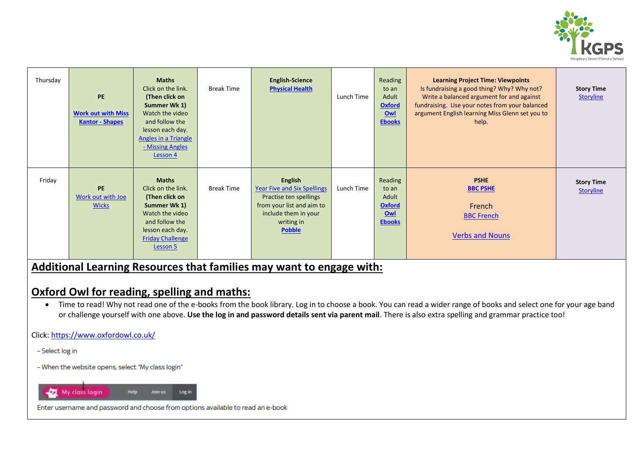

| Thursday | <b>PE</b><br><b>Work out with Miss</b><br><b>Kantor - Shapes</b> | <b>Maths</b><br>Click on the link.<br>(Then click on<br>Summer Wk 1)<br>Watch the video<br>and follow the<br>lesson each day.<br><b>Angles in a Triangle</b><br>- Missing Angles<br>Lesson 4 | <b>Break Time</b> | <b>English-Science</b><br><b>Physical Health</b>                                                                                                                   | Lunch Time | Reading<br>to an<br>Adult<br><b>Oxford</b><br>OWI<br><b>Ebooks</b> | <b>Learning Project Time: Viewpoints</b><br>Is fundraising a good thing? Why? Why not?<br>Write a balanced argument for and against<br>fundraising. Use your notes from your balanced<br>argument English learning Miss Glenn set you to<br>help. | <b>Story Time</b><br><b>Storyline</b> |
|----------|------------------------------------------------------------------|----------------------------------------------------------------------------------------------------------------------------------------------------------------------------------------------|-------------------|--------------------------------------------------------------------------------------------------------------------------------------------------------------------|------------|--------------------------------------------------------------------|---------------------------------------------------------------------------------------------------------------------------------------------------------------------------------------------------------------------------------------------------|---------------------------------------|
| Friday   | PE<br>Work out with Joe<br><b>Wicks</b>                          | <b>Maths</b><br>Click on the link.<br>(Then click on<br>Summer Wk 1)<br>Watch the video<br>and follow the<br>lesson each day.<br><b>Friday Challenge</b><br>Lesson 5                         | <b>Break Time</b> | <b>English</b><br><b>Year Five and Six Spellings</b><br>Practise ten spellings<br>from your list and aim to<br>include them in your<br>writing in<br><b>Pobble</b> | Lunch Time | Reading<br>to an<br>Adult<br><b>Oxford</b><br>Owl<br><b>Ebooks</b> | <b>PSHE</b><br><b>BBC PSHE</b><br>French<br><b>BBC French</b><br><b>Verbs and Nouns</b>                                                                                                                                                           | <b>Story Time</b><br><b>Storyline</b> |

### **Additional Learning Resources that families may want to engage with:**

## **Oxford Owl for reading, spelling and maths:**

• Time to read! Why not read one of the e-books from the book library. Log in to choose a book. You can read a wider range of books and select one for your age band or challenge yourself with one above. **Use the log in and password details sent via parent mail**. There is also extra spelling and grammar practice too!

Click[: https://www.oxfordowl.co.uk/](https://www.oxfordowl.co.uk/)

- Select log in

- When the website opens, select "My class login"



Enter username and password and choose from options available to read an e-book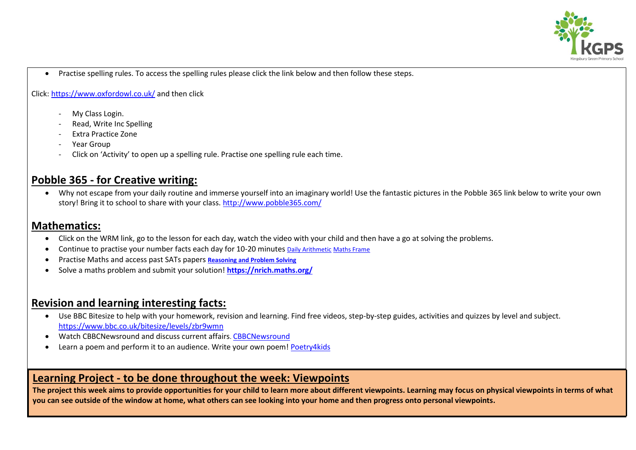

Practise spelling rules. To access the spelling rules please click the link below and then follow these steps.

Click[: https://www.oxfordowl.co.uk/](https://www.oxfordowl.co.uk/) and then click

- My Class Login.
- Read, Write Inc Spelling
- Extra Practice Zone
- Year Group
- Click on 'Activity' to open up a spelling rule. Practise one spelling rule each time.

# **Pobble 365 - for Creative writing:**

 Why not escape from your daily routine and immerse yourself into an imaginary world! Use the fantastic pictures in the Pobble 365 link below to write your own story! Bring it to school to share with your class.<http://www.pobble365.com/>

### **Mathematics:**

- Click on the WRM link, go to the lesson for each day, watch the video with your child and then have a go at solving the problems.
- Continue to practise your number facts each day for 10-20 minutes [Daily Arithmetic](https://www.topmarks.co.uk/maths-games/daily10) [Maths Frame](https://mathsframe.co.uk/)
- Practise Maths and access past SATs papers **[Reasoning and Problem Solving](https://primarysite-prod-sorted.s3.amazonaws.com/springcroft-primary-school/UploadedDocument/915522a464444cfa96a70bc9bdaee45d/ultimate-ks2-maths-sats-organiser-y6-daily-mini-videos-puzzles-for-y5.pdf)**
- Solve a maths problem and submit your solution! **<https://nrich.maths.org/>**

## **Revision and learning interesting facts:**

- Use BBC Bitesize to help with your homework, revision and learning. Find free videos, step-by-step guides, activities and quizzes by level and subject. <https://www.bbc.co.uk/bitesize/levels/zbr9wmn>
- Watch [CBBCNewsround](https://www.bbc.co.uk/newsround) and discuss current affairs. CBBCNewsround
- Learn a poem and perform it to an audience. Write your own poem! [Poetry4kids](https://www.poetry4kids.com/)

### **Learning Project - to be done throughout the week: Viewpoints**

**The project this week aims to provide opportunities for your child to learn more about different viewpoints. Learning may focus on physical viewpoints in terms of what you can see outside of the window at home, what others can see looking into your home and then progress onto personal viewpoints.**